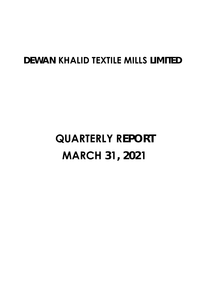# **DEWAN KHALID TEXTILE MILLS LIMITED**

# **QUARTERLY REPORT MARCH 31, 2021**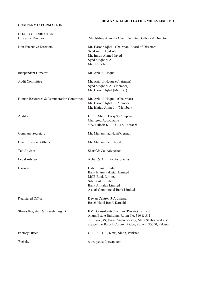#### **DEWAN KHALID TEXTILE MILLS LIMITED**

#### **COMPANY INFORMATION**

| <b>BOARD OF DIRECTORS</b><br><b>Executive Director</b>                  | : Mr. Ishtiaq Ahmed - Chief Executive Officer & Director                |
|-------------------------------------------------------------------------|-------------------------------------------------------------------------|
|                                                                         |                                                                         |
| Non-Executive Directors                                                 | : Mr. Haroon Iqbal - Chairman, Board of Directors<br>Syed Asim Abid Ali |
|                                                                         | Mr. Imran Ahmed Javed                                                   |
|                                                                         | Syed Maqbool Ali                                                        |
|                                                                         | Mrs. Nida Jamil                                                         |
| <b>Independent Director</b>                                             | : Mr. Aziz-ul-Haque                                                     |
| <b>Audit Committee</b>                                                  | Mr. Aziz-ul-Haque (Chairman)                                            |
|                                                                         | Syed Maqbool Ali (Member)                                               |
|                                                                         | : Mr. Haroon Iqbal (Member)                                             |
| Human Resources & Remuneration Committee : Mr. Aziz-ul-Haque (Chairman) |                                                                         |
|                                                                         | Mr. Haroon Iqbal<br>(Member)                                            |
|                                                                         | Mr. Ishtiaq Ahmed (Member)                                              |
| Auditor                                                                 | : Feroze Sharif Tariq & Company                                         |
|                                                                         | <b>Chartered Accountants</b>                                            |
|                                                                         | 4/N/4 Block-6, P.E.C.H.S., Karachi                                      |
| Company Secretary                                                       | : Mr. Muhammad Hanif German                                             |
| Chief Financial Officer                                                 | : Mr. Muhammad Irfan Ali                                                |
| Tax Advisor                                                             | : Sharif & Co. Advocates                                                |
| Legal Advisor                                                           | : Abbas & Atif Law Associates                                           |
| <b>Bankers</b>                                                          | : Habib Bank Limited                                                    |
|                                                                         | : Bank Islami Pakistan Limited                                          |
|                                                                         | : MCB Bank Limited                                                      |
|                                                                         | : Silk Bank Limited<br>: Bank Al Falah Limited                          |
|                                                                         | : Askari Commercial Bank Limited                                        |
| Registered Office                                                       | : Dewan Centre, 3-A Lalazar                                             |
|                                                                         | Beach Hotel Road, Karachi                                               |
| Shares Registrar & Transfer Agent                                       | : BMF Consultants Pakistan (Private) Limited                            |
|                                                                         | Anum Estate Building, Room No. 310 & 311,                               |
|                                                                         | 3rd Floor, 49, Darul Aman Society, Main Shahrah-e-Faisal,               |
|                                                                         | adjacent to Baloch Colony Bridge, Karachi 75350, Pakistan               |
| Factory Office                                                          | : G/11, S.I.T.E., Kotri, Sindh, Pakistan.                               |
| Website                                                                 | : www.yousufdewan.com                                                   |
|                                                                         |                                                                         |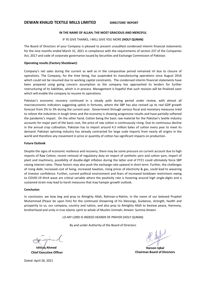#### **IN THE NAME OF ALLAH; THE MOST GRACIOUS AND MERCIFUL**

#### IF YE GIVE THANKS, I WILL GIVE YOU MORE **(HOLY QURAN)**

The Board of Directors of your Company is pleased to present unaudited condensed interim financial statements for the nine months ended March 31, 2021 in compliance with the requirements of section 237 of the Companies Act, 2017 and code of corporate governance issued by Securities and Exchange Commission of Pakistan.

#### **Operating results (Factory Shutdown):**

Company's net sales during the current as well as in the comparative period remained nil due to closure of operations. The Company, for the time being, has suspended its manufacturing operations since August 2016 which could not be resumed due to working capital constraints. The condensed interim financial statements have been prepared using going concern assumption as the company has approached its lenders for further restructuring of its liabilities, which is in process. Management is hopeful that such revision will be finalized soon which will enable the company to resume its operations.

Pakistan's economic recovery continued in a steady path during period under review, with almost all macroeconomic indicators suggesting uptick in fortunes, where the SBP has also revised up its real GDP growth forecast from 2% to 3% during the current year. Government through various fiscal and monetary measures tried to relieve the industries in tough times and the economy is showing progressive results and have partially softened the pandemic's impact. On the other hand, Cotton being the basic raw material for the Pakistan's textile industry accounts for major part of the basic cost, the price of raw cotton is continuously rising. Due to continuous decline in the annual crop cultivation, Pakistan has to import around 4.5 million bales of cotton every year to meet its demand. Pakistan spinning industry has already contracted for large scale imports from nearly all origins in the world and therefore any movement in price or quantity of cotton has significant impacts on production.

#### **Future Outlook**

Despite the signs of economic resilience and recovery, there may be some pressure on current account due to high imports of Raw Cotton, recent removal of regulatory duty on import of synthetic yarn and cotton yarn, import of plant and machinery, possibility of double‐digit inflation during the latter end of FY21 could ultimately force SBP raising interest rates. These factors may also push the exchange rate upward in short term. Further, the challenges of rising debt, increased cost of living, increased taxation, rising prices of electricity & gas, could lead to wavering of investor confidence. Further, current political environment and fears of increased lockdown restrictions owing to COVID-19 third wave are critical variable where the positivity rate is hovering around high single-digits and a sustained strain may lead to harsh measures that may hamper growth outlook.

#### **Conclusion**

In conclusion, we bow beg and pray to Almighty Allah, Rahman-o-Rahim, in the name of our beloved Prophet Muhammad (Peace be upon him) for the continued showering of his blessings, Guidance, strength, health and prosperity to us, our company, country and nation, and also pray to Almighty Allah to bestow peace, Harmony, brotherhood and unity in true Islamic spirit to whole of Muslim Ummah; Ameen: Summa Ameen

LO‐MY LORD IS INDEED HEARER OF PRAYER (HOLY QURAN)

By and under Authority of the Board of Directors

**Ishtiaq Ahmed Chief Executive Officer** 

**Haroon Iqbal Chairman Board of Directors** 

Dated: April 26, 2021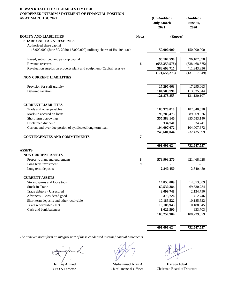#### **DEWAN KHALID TEXTILE MILLS LIMITED CONDENSED INTERIM STATEMENT OF FINANCIAL POSITION AS AT MARCH 31, 2021 (Un-Audited) (Audited)**

| AS A I MAKUH 31, 2021                                                                               |              | $($ Un-Audited $)$<br><b>July-March</b><br>2021 | (Audited)<br><b>June 30,</b><br>2020 |
|-----------------------------------------------------------------------------------------------------|--------------|-------------------------------------------------|--------------------------------------|
| <b>EQUITY AND LIABILITIES</b>                                                                       | <b>Notes</b> | --------------- (Rupees) ---------------        |                                      |
| <b>SHARE CAPITAL &amp; RESERVES</b>                                                                 |              |                                                 |                                      |
| Authorized share capital<br>15,000,000 (June 30, 2020: 15,000,000) ordinary shares of Rs. 10/- each |              | 150,000,000                                     | 150,000,000                          |
| Issued, subscribed and paid-up capital                                                              |              | 96,107,590                                      | 96,107,590                           |
| Revenue reserves                                                                                    | 6            | (656, 359, 578)                                 | (638, 468, 575)                      |
| Revaluation surplus on property plant and equipment (Capital reserve)                               |              | 388,693,715                                     | 411,343,336                          |
|                                                                                                     |              | (171, 558, 273)                                 | (131, 017, 649)                      |
| <b>NON CURRENT LIABILITIES</b>                                                                      |              |                                                 |                                      |
| Provision for staff gratuity                                                                        |              | 17,295,063                                      | 17,295,063                           |
| Deferred taxation                                                                                   |              | 104,583,790                                     | 113,835,044                          |
|                                                                                                     |              | 121,878,853                                     | 131,130,107                          |
| <b>CURRENT LIABILITIES</b>                                                                          |              |                                                 |                                      |
| Trade and other payables                                                                            |              | 183,970,018                                     | 182,840,520                          |
| Mark-up accrued on loans                                                                            |              | 96,785,473                                      | 89,669,026                           |
| Short term borrowings                                                                               |              | 355,583,140                                     | 355,583,140                          |
| Unclaimed dividend                                                                                  |              | 334,741                                         | 334,741                              |
| Current and over due portion of syndicated long term loan                                           |              | 104,007,672                                     | 104,007,672                          |
|                                                                                                     |              | 740,681,044                                     | 732,435,099                          |
| <b>CONTINGENCIES AND COMMITMENTS</b>                                                                | 7            |                                                 |                                      |
|                                                                                                     |              | 691,001,624                                     | 732,547,557                          |
| <b>ASSETS</b>                                                                                       |              |                                                 |                                      |
| <b>NON CURRENT ASSETS</b>                                                                           |              |                                                 |                                      |
| Property, plant and equipments                                                                      | 8            | 579,903,270                                     | 621,468,028                          |
| Long term investment                                                                                | 9            |                                                 |                                      |
| Long term deposits                                                                                  |              | 2,840,450                                       | 2,840,450                            |
| <b>CURRENT ASSETS</b>                                                                               |              |                                                 |                                      |
| Stores, spares and loose tools                                                                      |              | 14,853,089                                      | 14,853,089                           |
| Stock-in-Trade                                                                                      |              | 69,530,284                                      | 69,530,284                           |
| Trade debtors - Unsecured                                                                           |              | 2,099,748                                       | 2,134,790                            |
| Advances - Considered good                                                                          |              | 373,726                                         | 412,746                              |
| Short term deposits and other receivable                                                            |              | 10,185,522                                      | 10,185,522                           |
| Taxes recoverable - Net                                                                             |              | 10,188,945                                      | 10,188,945                           |
| Cash and bank balances                                                                              |              | 1,026,590                                       | 933,703                              |
|                                                                                                     |              | 108,257,904                                     | 108,239,079                          |

**691,001,624 732,547,557**

**Ishtiaq Ahmed**

CEO & Director Chief Financial Officer

Chairman Board of Directors **Muhammad Irfan Ali Haroon Iqbal**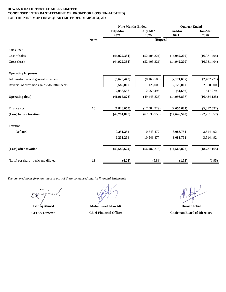#### **DEWAN KHALID TEXTILE MILLS LIMITED CONDENSED INTERIM STATEMENT OF PROFIT OR LOSS (UN-AUDITED) FOR THE NINE MONTHS & QUARTER ENDED MARCH 31, 2021**

|                                              |              | <b>Nine Months Ended</b> |                | <b>Quarter Ended</b>           |                |
|----------------------------------------------|--------------|--------------------------|----------------|--------------------------------|----------------|
|                                              |              | July-Mar                 | July-Mar       | Jan-Mar                        | Jan-Mar        |
|                                              |              | 2021                     | 2020           | 2021                           | 2020           |
|                                              | <b>Notes</b> |                          |                | ----- (Rupees) --------------- |                |
| Sales - net                                  |              |                          |                |                                |                |
| Cost of sales                                |              | (44, 922, 381)           | (52, 405, 321) | (14, 942, 200)                 | (16,981,404)   |
| Gross (loss)                                 |              | (44, 922, 381)           | (52, 405, 321) | (14, 942, 200)                 | (16,981,404)   |
| <b>Operating Expenses</b>                    |              |                          |                |                                |                |
| Administrative and general expenses          |              | (6,628,442)              | (8,165,505)    | (2,171,697)                    | (2,402,721)    |
| Reversal of provision against doubtful debts |              | 9,585,000                | 11,125,000     | 2,120,000                      | 2,950,000      |
|                                              |              | 2,956,558                | 2,959,495      | (51, 697)                      | 547,279        |
| <b>Operating (loss)</b>                      |              | (41,965,823)             | (49, 445, 826) | (14,993,897)                   | (16, 434, 125) |
| Finance cost                                 | 10           | (7,826,055)              | (17, 584, 929) | (2,655,681)                    | (5,817,532)    |
| (Loss) before taxation                       |              | (49,791,878)             | (67,030,755)   | (17,649,578)                   | (22, 251, 657) |
| Taxation                                     |              |                          |                |                                |                |
| - Deferred                                   |              | 9,251,254                | 10,543,477     | 3,083,751                      | 3,514,492      |
|                                              |              | 9,251,254                | 10,543,477     | 3,083,751                      | 3,514,492      |
| (Loss) after taxation                        |              | (40, 540, 624)           | (56, 487, 278) | (14, 565, 827)                 | (18, 737, 165) |
| (Loss) per share - basic and diluted         | 13           | (4.22)                   | (5.88)         | (1.52)                         | (1.95)         |

 $\mathcal{C}$ 

**Ishtiaq Ahmed CEO & Director** 

**Muhammad Irfan Ali Chief Financial Officer**

**Haroon Iqbal Chairman Board of Directors**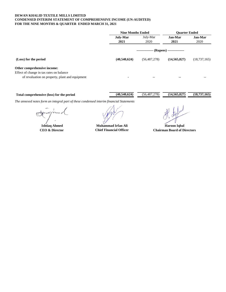#### **DEWAN KHALID TEXTILE MILLS LIMITED CONDENSED INTERIM STATEMENT OF COMPREHENSIVE INCOME (UN-AUDITED) FOR THE NINE MONTHS & QUARTER ENDED MARCH 31, 2021**

|                                                                                             | <b>Nine Months Ended</b> |                                          | <b>Ouarter Ended</b> |                 |
|---------------------------------------------------------------------------------------------|--------------------------|------------------------------------------|----------------------|-----------------|
|                                                                                             | <b>July-Mar</b><br>2021  | July-Mar<br>2020                         | Jan-Mar<br>2021      | Jan-Mar<br>2020 |
|                                                                                             |                          | --------------- (Rupees) --------------- |                      |                 |
| (Loss) for the period                                                                       | (40,540,624)             | (56, 487, 278)                           | (14, 565, 827)       | (18, 737, 165)  |
| Other comprehensive income:                                                                 |                          |                                          |                      |                 |
| Effect of change in tax rates on balance<br>of revaluation on property, plant and equipment |                          | $- -$                                    | --                   |                 |

| Total comprehensive (loss) for the period |  |  |  | (40.540.624) | (56.487.2) | .278) | (14.565.827) | (18, 737, 165) |  |  |  |  |  |
|-------------------------------------------|--|--|--|--------------|------------|-------|--------------|----------------|--|--|--|--|--|
| $-$                                       |  |  |  |              |            |       |              |                |  |  |  |  |  |

**Ishtiaq Ahmed Haroon Iqbal Muhammad Irfan Ali Chief Financial Officer**

CEO & Director **Chief Financial Officer** Chairman Board of Directors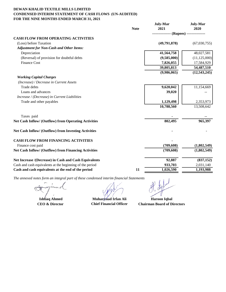#### **DEWAN KHALID TEXTILE MILLS LIMITED CONDENSED INTERIM STATEMENT OF CASH FLOWS (UN-AUDITED) FOR THE NINE MONTHS ENDED MARCH 31, 2021**

|                                                          |             | <b>July-Mar</b>                          | <b>July-Mar</b> |
|----------------------------------------------------------|-------------|------------------------------------------|-----------------|
|                                                          | <b>Note</b> | 2021                                     | 2020            |
|                                                          |             | --------------- (Rupees) --------------- |                 |
| <b>CASH FLOW FROM OPERATING ACTIVITIES</b>               |             |                                          |                 |
| (Loss) before Taxation                                   |             | (49,791,878)                             | (67,030,755)    |
| <b>Adjustment for Non-Cash and Other Items:</b>          |             |                                          |                 |
| Depreciation                                             |             | 41,564,758                               | 48,027,581      |
| (Reversal) of provision for doubtful debts               |             | (9,585,000)                              | (11, 125, 000)  |
| <b>Finance Cost</b>                                      |             | 7,826,055                                | 17,584,929      |
|                                                          |             | 39,805,813                               | 54,487,510      |
|                                                          |             | (9,986,065)                              | (12, 543, 245)  |
| <b>Working Capital Charges</b>                           |             |                                          |                 |
| (Increase) / Decrease in Current Assets                  |             |                                          |                 |
| Trade debts                                              |             | 9,620,042                                | 11,154,669      |
| Loans and advances                                       |             | 39,020                                   |                 |
| Increase / (Decrease) in Current Liabilities             |             |                                          |                 |
| Trade and other payables                                 |             | 1,129,498                                | 2,353,973       |
|                                                          |             | 10,788,560                               | 13,508,642      |
| Taxes paid                                               |             |                                          |                 |
| Net Cash Inflow/ (Outflow) from Operating Activities     |             | 802,495                                  | 965,397         |
| Net Cash Inflow/ (Outflow) from Investing Activities     |             |                                          |                 |
| <b>CASH FLOW FROM FINANCING ACTIVITIES</b>               |             |                                          |                 |
| Finance cost paid                                        |             | (709, 608)                               | (1,802,549)     |
| Net Cash Inflow/ (Outflow) from Financing Activities     |             | (709, 608)                               | (1,802,549)     |
| Net Increase /(Decrease) in Cash and Cash Equivalents    |             | 92,887                                   | (837, 152)      |
| Cash and cash equivalents at the beginning of the period |             | 933,703                                  | 2,031,140       |
| Cash and cash equivalents at the end of the period       | 11          | 1,026,590                                | 1,193,988       |
|                                                          |             |                                          |                 |

l,

**Ishtiaq Ahmed Haroon Iqbal Muhammad Irfan Ali Chief Financial Officer**

CEO & Director **Chairman Board of Directors** Chairman Board of Directors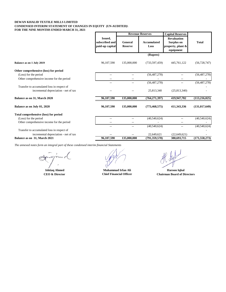#### **DEWAN KHALID TEXTILE MILLS LIMITED CONDENSED INTERIM STATEMENT OF CHANGES IN EQUITY (UN-AUDITED)\ FOR THE NINE MONTHS ENDED MARCH 31, 2021**

|                                                                                     |                                                     | <b>Revenue Reserves</b>   |                            | <b>Capital Reserves</b>                                               |                 |
|-------------------------------------------------------------------------------------|-----------------------------------------------------|---------------------------|----------------------------|-----------------------------------------------------------------------|-----------------|
|                                                                                     | <b>Issued,</b><br>subscribed and<br>paid-up capital | General<br><b>Reserve</b> | <b>Accumulated</b><br>Loss | <b>Revaluation</b><br>Surplus on<br>property, plant $\&$<br>equipment | <b>Total</b>    |
|                                                                                     |                                                     |                           | (Rupees)                   |                                                                       |                 |
| Balance as on 1 July 2019                                                           | 96,107,590                                          | 135,000,000               | (733, 597, 459)            | 445,761,122                                                           | (56, 728, 747)  |
| Other comprehensive (loss) for period                                               |                                                     |                           |                            |                                                                       |                 |
| (Loss) for the period                                                               | $-$                                                 |                           | (56, 487, 278)             |                                                                       | (56, 487, 278)  |
| Other comprehensive income for the period                                           |                                                     |                           |                            |                                                                       |                 |
|                                                                                     | $- -$                                               |                           | (56, 487, 278)             | $- -$                                                                 | (56, 487, 278)  |
| Transfer to accumulated loss in respect of<br>incremental depreciation - net of tax |                                                     |                           | 25,813,340                 | (25,813,340)                                                          |                 |
| Balance as on 31, March 2020                                                        | 96,107,590                                          | 135,000,000               | (764, 271, 397)            | 419,947,782                                                           | (113, 216, 025) |
| Balance as on July 01, 2020                                                         | 96,107,590                                          | 135,000,000               | (773, 468, 575)            | 411,343,336                                                           | (131, 017, 649) |
| Total comprehensive (loss) for period                                               |                                                     |                           |                            |                                                                       |                 |
| (Loss) for the period                                                               | $-$                                                 |                           | (40,540,624)               | $-$                                                                   | (40,540,624)    |
| Other comprehensive income for the period                                           | --                                                  | $-$                       |                            | $-$                                                                   |                 |
|                                                                                     | --                                                  | $\overline{a}$            | (40, 540, 624)             | $\overline{\phantom{a}}$                                              | (40,540,624)    |
| Transfer to accumulated loss in respect of                                          |                                                     |                           |                            |                                                                       |                 |
| incremental depreciation - net of tax                                               |                                                     |                           | 22,649,621                 | (22,649,621)                                                          |                 |
| Balance as on 31, March 2021                                                        | 96,107,590                                          | 135,000,000               | (791, 359, 578)            | 388,693,715                                                           | (171, 558, 273) |

m

**Ishtiaq Ahmed Haroon Iqbal Muhammad Irfan Ali**

**CEO & Director Chief Financial Officer Chairman Board of Directors**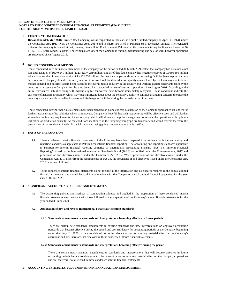#### **DEWAN KHALID TEXTILE MILLS LIMITED NOTES TO THE CONDENSED INTERIM FINANCIAL STATEMENTS (UN-AUDITED) FOR THE NINE MONTHS ENDED MARCH 31, 2021**

#### **1 CORPORATE INFORMATION**

**Dewan Khalid Textile Mills Limited** (the Company) was incorporated in Pakistan, as a public limited company on April 03, 1978, under the Companies Act, 1913 (Now the Companies Acts, 2017) and its shares are listed in Pakistan Stock Exchange Limited. The registered office of the company is located at 3-A, Lalazar, Beach Hotel Road, Karachi, Pakistan; while its manufacturing facilities are located at G-11, S.I.T.E., Kotri, Sindh, Pakistan. The Principal activity of the Company is trading, manufacturing and sale of yarn, however operations are suspended since August, 2016.

#### **<sup>2</sup> GOING CONCERN ASSUMPTION**

These condensed interim financial statements of the company for the period ended 31 March 2021 reflect that company has sustained a net loss after taxation of Rs.40.541 million (2020: Rs.74.289 million) and as of that date company has negative reserves of Rs.656.360 million which have resulted in negative equity of Rs.171.558 million. Further the company's short term borrowing facilities have expired and not been renewed. Company defaulted in repayment of its restructured liabilities due to liquidity crunch faced by the Company due to lesser market demand and adverse factors being faced by the overall textile industry in the country and working capital constriants faces by the company as a result the Company, for the time being, has suspended its manufacturing operations since August 2016. Accordingly, the entire restructured liabilities along with markup eligible for waiver have become immediately repayable. These conditions indicate the existence of material uncertainty which may cast significant doubt about the company's ability to continue as a going concern, therefore the company may not be able to realize its assets and discharge its liabilities during the normal course of business.

These condensed interim financial statements have been prepared on going concern assumption as the Company approached its lenders for further restructuring of its liabilities which is in process. Company is hopeful that such restructuring will be effective soon and will further streamline the funding requirements of the Company which will ultimately help the management to resume the operations with optimum utilization of production capacity. As the conditions mentioned in the foregoing paragraph are temporary and would reverse therefore the preparation of the condensed interim financial statements using going concern assumption is justified.

#### **3 BASIS OF PREPARATION**

- **3.1** These condensed interim financial statements of the Company have been prepared in accordance with the accounting and reporting standards as applicable in Pakistan for interim financial reporting. The accounting and reporting standards applicable in Pakistan for interim financial reporting comprise of International Accounting Standard (IAS) 34, "Interim Financial Reporting", issued by the International Accounting Standards Board (IASB) as notified under the Companies Act, 2017 and provisions of and directives issued under the Companies Act, 2017. Where provisions of and directives issued under the Companies Act, 2017 differ from the requirements of IAS 34, the provisions of and directives issued under the Companies Act, 2017 have been followed.
- **3.2** These condensed interim financial statements do not include all the information and disclosures required in the annual audited financial statements, and should be read in conjunction with the Company's annual audited financial statements for the year ended 30 June 2020.

#### **4 SIGNIFICANT ACCOUNTING POLICIES AND ESTIMATES**

**4.1** The accounting policies and methods of computation adopted and applied in the preparation of these condensed interim financial statements are consistent with those followed in the preparation of the Company's annual financial statements for the year ended 30 June 2020.

#### **4.2 Application of new and revised International Financial Reporting Standards**

#### **4.2.1 Standards, amendments to standards and interpretations becoming effective in future periods**

There are certain new standards, amendments to existing standards and new interpretations on approved accounting standards that became effective during the period and are mandatory for accounting periods of the Company beginning on or after July 01, 2020 but are considered not to be relevant or not to have any material effect on the Company's operations and are, therefore, not disclosed in these condensed interim financial statements.

#### **4.2.2 Standards, amendments to standards and interpretations becoming effective during the period**

There are certain new standards, amendments to standards and interpretations that will became effective in future accounting periods but are considered not to be relevant or not to have any material effect on the Company's operations and are, therefore, not disclosed in these condensed interim financial statements.

#### **5 ACCOUNTING ESTIMATES, JUDGEMENTS AND FINANCIAL RISK MANAGEMENT**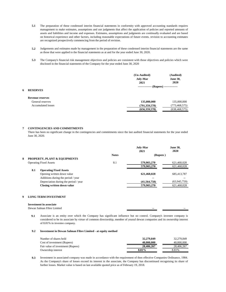- **5.1** The preparation of these condensed interim financial statements in conformity with approved accounting standards requires management to make estimates, assumptions and use judgments that affect the application of policies and reported amounts of assets and liabilities and income and expenses. Estimates, assumptions and judgments are continually evaluated and are based on historical experience and other factors, including reasonable expectations of future events. revision to accounting estimates are recognized prospectively commencing from the period of revision.
- **5.2** Judgements and estimates made by management in the preparation of these condensed interim financial statements are the same as those that were applied to the financial statements as at and for the year ended June 30, 2020.
- **5.3** The Company's financial risk management objectives and policies are consistent with those objectives and policies which were disclosed in the financial statements of the Company for the year ended June 30, 2020

|                           | (Un-Audited)<br><b>July-Mar</b><br>2021 | (Audited)<br><b>June 30,</b><br>2020 |  |
|---------------------------|-----------------------------------------|--------------------------------------|--|
| <b>RESERVES</b>           | -- (Rupees) --------------<br>--------- |                                      |  |
| <b>Revenue reserves</b>   |                                         |                                      |  |
| General reserves          | 135,000,000                             | 135,000,000                          |  |
| <b>Accumulated losses</b> | (791, 359, 578)                         | (773, 468, 575)                      |  |
|                           | (656, 359, 578)                         | (638, 468, 575)                      |  |
|                           |                                         |                                      |  |

#### **7 CONTINGENCIES AND COMMITMENTS**

There has been no significant change in the contingencies and commitments since the last audited financial statements for the year ended June 30, 2020.

|     |                                         |              | <b>July-Mar</b><br>2021 | <b>June 30,</b><br>2020 |
|-----|-----------------------------------------|--------------|-------------------------|-------------------------|
|     |                                         | <b>Notes</b> | (Rupees)                |                         |
|     | <b>PROPERTY, PLANT &amp; EQUIPMENTS</b> |              |                         |                         |
|     | <b>Operating Fixed Assets</b>           | 8.1          | 579,903,270             | 621,468,028             |
|     |                                         |              | 579,903,270             | 621,468,028             |
| 8.1 | <b>Operating Fixed Assets</b>           |              |                         |                         |
|     | Opening written down value              |              | 621,468,028             | 685,413,787             |
|     | Additions during the period / year      |              | --                      |                         |
|     | Depreciation during the period / year   |              | (41, 564, 758)          | (63,945,759)            |
|     | Closing written down value              |              | 579,903,270             | 621,468,028             |
|     |                                         |              |                         |                         |

#### **9 LONG TERM INVESTMENT**

#### **Investment in associate**

| Dewan<br>H <sub>1</sub> bre<br>nan<br>Nait<br>amire | -- | $- -$<br>-- |
|-----------------------------------------------------|----|-------------|
|                                                     |    |             |
|                                                     |    |             |

**9.1** Associate is an entity over which the Company has significant influence but no control. Company's investee company is considered to be its associate by virtue of common directorship, member of yousuf dewan companies and its ownership interest of 8.81% in investee company.

#### **9.2 Investment in Dewan Salman Fibre Limited - at equity method**

| Number of shares held             | 32,279,849 | 32.279.849 |
|-----------------------------------|------------|------------|
| Cost of investment (Rupees)       | 40,000,000 | 40,000,000 |
| Fair value of investment (Rupees) | 28,406,267 | 28,406,267 |
| Ownership interest                | 8.81%      | 8.81%      |

**9.3** Investment in associated company was made in accordance with the requirement of then effective Companies Ordinance, 1984. As the Company's share of losses exceed its interest in the associate, the Company has discontinued recognising its share of further losses. Market value is based on last available quoted price as of February 19, 2018.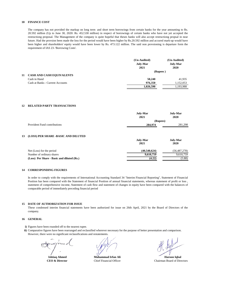#### **10 FINANCE COST**

The company has not provided the markup on long term and short term borrowings from certain banks for the year amounting to Rs. 20.592 million (Up to June 30, 2020: Rs. 452.530 million) in respect of borrowings of certain banks who have not yet accepted the restructiong proposal. The Management of the company is quite hopeful that theses banks will also accept restructiong propsal in near future. Had the provsion been made the loss for the period would have been higher by Rs.20.592 million and accured mark-up would have been higher and shareholders' equity would have been lower by Rs. 473.122 million. The said non provsioning is departure form the requirement of IAS 23- 'Borrowing Costs'.

|    |                                  | (Un-Audited)<br><b>July-Mar</b><br>2021 | (Un-Audited)<br><b>July-Mar</b><br>2020 |  |
|----|----------------------------------|-----------------------------------------|-----------------------------------------|--|
|    |                                  | (Rupees)                                |                                         |  |
| 11 | <b>CASH AND CASH EQUIVALENTS</b> |                                         |                                         |  |
|    | Cash in Hand                     | 50,240                                  | 41,935                                  |  |
|    | Cash at Banks - Current Accounts | 976,350                                 | 1,152,053                               |  |
|    |                                  | 1,026,590                               | 1,193,988                               |  |

#### **12 RELATED PARTY TRANSACTIONS**

|                                        | <b>July-Mar</b><br>2021 | <b>July-Mar</b><br>2020 |
|----------------------------------------|-------------------------|-------------------------|
|                                        | (Rupees)                |                         |
| Provident Fund contributions           | 284,974                 | 281,298                 |
|                                        |                         |                         |
| 13 (LOSS) PER SHARE -BASIC AND DILUTED |                         |                         |
|                                        | July-Mar                | <b>July-Mar</b>         |

|                                            | 2021         | 2020           |
|--------------------------------------------|--------------|----------------|
| Net (Loss) for the period                  | (40.540.624) | (56, 487, 278) |
| Number of ordinary shares                  | 9,610,759    | 9.610.759      |
| (Loss) Per Share - Basic and diluted (Rs.) | (4.22)       | (5.88)         |

#### **14 CORRESPONDING FIGURES**

In order to comply with the requirements of International Accounting Standard 34 "Interim Financial Reporting", Statement of Financial Position has been compared with the Statement of financial Position of annual financial statements, whereas statement of profit or loss , statement of comprehensive income, Statement of cash flow and statement of changes in equity have been compared with the balances of comparable period of immediately preceding financial period

#### **15 DATE OF AUTHORIZATION FOR ISSUE**

These condensed interim financial statements have been authorized for issue on 26th April, 2021 by the Board of Directors of the company.

#### **16 GENERAL**

- **i)** Figures have been rounded off to the nearest rupee.
- **ii)** Comparative figures have been rearranged and reclassified wherever necessary for the purpose of better presentation and comparison. However, there were no significant reclassifications and restatements.

**Ishtiaq Ahmed**

Chief Financial Officer **Muhammad Irfan Ali**

**CEO & Director Chairman Board of Directors Chairman Board of Directors Haroon Iqbal**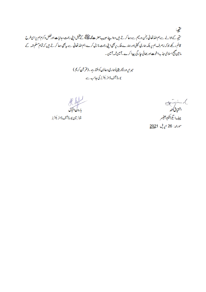يحجبة منتیجہ کےحوالے ہے ہم اللہ تعالیٰ رحمٰن ورحیم ہے دعا کرتے ہیں وہاپنے حبیب حضرت محمد علاقیقے کے طفیل اپنی رحمت ، ہدایات اورفضل وکرم ہم پراسی طرح قائم رکھے جوکہ بیصرف ہم پر بلکہ ہماری کمپنی اور ہمارے ملک پربھی اپنی رحمت م**ا زل** کرے،ہم اللہ تعالیٰ ہے بہ<sup>بھی</sup> دعا کرتے ہیں کہ تمام مسلم امّہ کے ما بین صحیح اسلامی جذبہ اخوت اور بھائی جا رگی پیدا کرے۔آمین ثمہ آمین۔

> میرار ٍ وردگاریقیناً ہماری دعاؤں کو سنتاہے۔(قرآن کریم) بورڈ آف ڈائر یکٹرز کی جانب ہے

کسراہ کی ہائی<br>بارون اقبال

چیئر مین بورڈ آف ڈائر یکٹرز

)، anighmal<br>اشتیاق آمد چيف ايگزيکيٹيو آفيسر مورفہ: 26 اپریل 2021